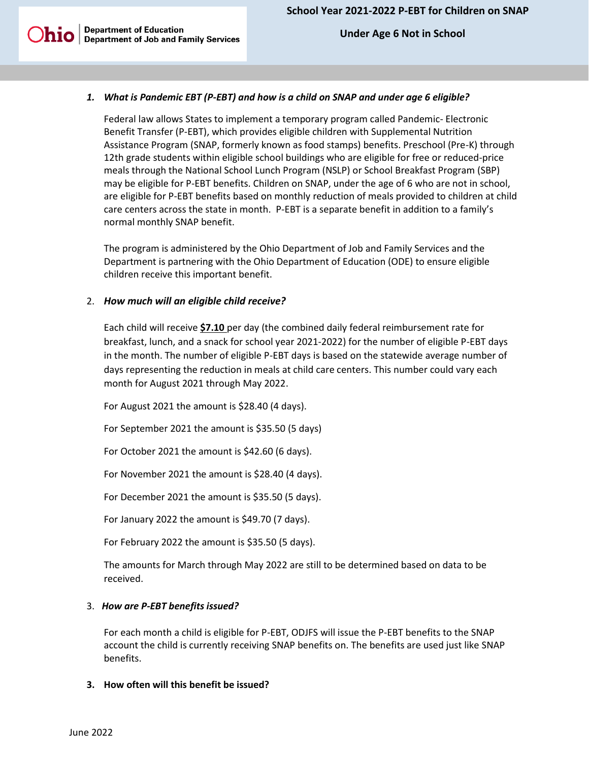**Department of Education**<br>  **Under Age 6 Not in School**<br> **Department of Job and Family Services** 

### *1. What is Pandemic EBT (P-EBT) and how is a child on SNAP and under age 6 eligible?*

Federal law allows States to implement a temporary program called Pandemic- Electronic Benefit Transfer (P-EBT), which provides eligible children with Supplemental Nutrition Assistance Program (SNAP, formerly known as food stamps) benefits. Preschool (Pre-K) through 12th grade students within eligible school buildings who are eligible for free or reduced-price meals through the National School Lunch Program (NSLP) or School Breakfast Program (SBP) may be eligible for P-EBT benefits. Children on SNAP, under the age of 6 who are not in school, are eligible for P-EBT benefits based on monthly reduction of meals provided to children at child care centers across the state in month. P-EBT is a separate benefit in addition to a family's normal monthly SNAP benefit.

The program is administered by the Ohio Department of Job and Family Services and the Department is partnering with the Ohio Department of Education (ODE) to ensure eligible children receive this important benefit.

#### 2. *How much will an eligible child receive?*

Each child will receive **\$7.10** per day (the combined daily federal reimbursement rate for breakfast, lunch, and a snack for school year 2021-2022) for the number of eligible P-EBT days in the month. The number of eligible P-EBT days is based on the statewide average number of days representing the reduction in meals at child care centers. This number could vary each month for August 2021 through May 2022.

For August 2021 the amount is \$28.40 (4 days).

For September 2021 the amount is \$35.50 (5 days)

For October 2021 the amount is \$42.60 (6 days).

For November 2021 the amount is \$28.40 (4 days).

For December 2021 the amount is \$35.50 (5 days).

For January 2022 the amount is \$49.70 (7 days).

For February 2022 the amount is \$35.50 (5 days).

The amounts for March through May 2022 are still to be determined based on data to be received.

#### 3. *How are P-EBT benefits issued?*

For each month a child is eligible for P-EBT, ODJFS will issue the P-EBT benefits to the SNAP account the child is currently receiving SNAP benefits on. The benefits are used just like SNAP benefits.

#### **3. How often will this benefit be issued?**